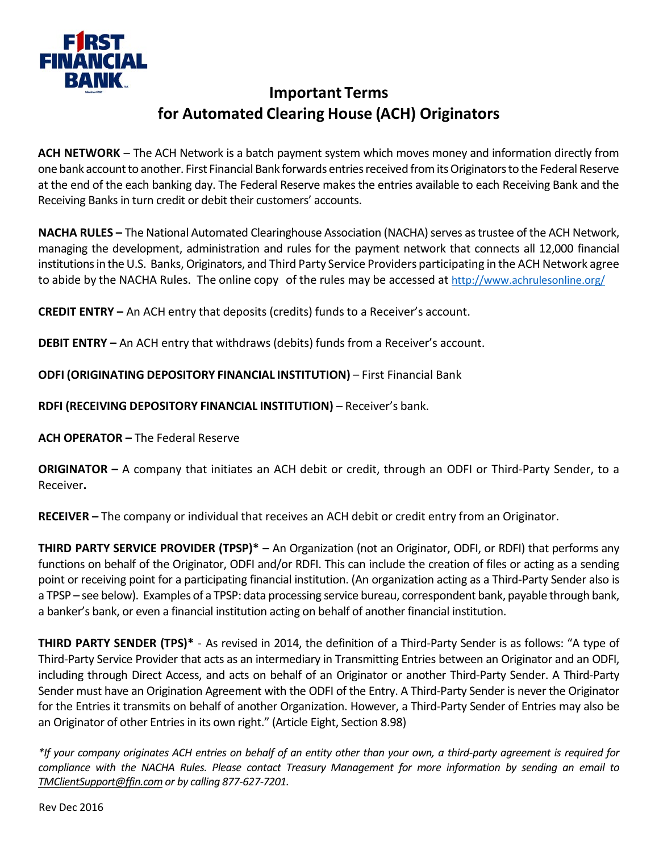

## **Important Terms for Automated Clearing House (ACH) Originators**

**ACH NETWORK** – The ACH Network is a batch payment system which moves money and information directly from one bank account to another. First Financial Bank forwards entries received from itsOriginators to the Federal Reserve at the end of the each banking day. The Federal Reserve makes the entries available to each Receiving Bank and the Receiving Banks in turn credit or debit their customers' accounts.

**NACHA RULES –** The National Automated Clearinghouse Association (NACHA) serves as trustee of the ACH Network, managing the development, administration and rules for the payment network that connects all 12,000 financial institutions in the U.S. Banks, Originators, and Third Party Service Providers participating in the ACH Network agree to abide by the NACHA Rules. The online copy of the rules may be accessed at<http://www.achrulesonline.org/>

**CREDIT ENTRY –** An ACH entry that deposits (credits) funds to a Receiver's account.

**DEBIT ENTRY –** An ACH entry that withdraws (debits) funds from a Receiver's account.

**ODFI (ORIGINATING DEPOSITORY FINANCIAL INSTITUTION)** – First Financial Bank

**RDFI (RECEIVING DEPOSITORY FINANCIAL INSTITUTION)** – Receiver's bank.

**ACH OPERATOR –** The Federal Reserve

**ORIGINATOR –** A company that initiates an ACH debit or credit, through an ODFI or Third-Party Sender, to a Receiver**.**

**RECEIVER –** The company or individual that receives an ACH debit or credit entry from an Originator.

**THIRD PARTY SERVICE PROVIDER (TPSP)\*** – An Organization (not an Originator, ODFI, or RDFI) that performs any functions on behalf of the Originator, ODFI and/or RDFI. This can include the creation of files or acting as a sending point or receiving point for a participating financial institution. (An organization acting as a Third-Party Sender also is a TPSP – see below). Examples of a TPSP: data processing service bureau, correspondent bank, payable through bank, a banker's bank, or even a financial institution acting on behalf of another financial institution.

**THIRD PARTY SENDER (TPS)\*** - As revised in 2014, the definition of a Third-Party Sender is as follows: "A type of Third-Party Service Provider that acts as an intermediary in Transmitting Entries between an Originator and an ODFI, including through Direct Access, and acts on behalf of an Originator or another Third-Party Sender. A Third-Party Sender must have an Origination Agreement with the ODFI of the Entry. A Third-Party Sender is never the Originator for the Entries it transmits on behalf of another Organization. However, a Third-Party Sender of Entries may also be an Originator of other Entries in its own right." (Article Eight, Section 8.98)

*\*If your company originates ACH entries on behalf of an entity other than your own, a third-party agreement is required for compliance with the NACHA Rules. Please contact Treasury Management for more information by sending an email to [TMClientSupport@ffin.com](mailto:TMClientSupport@ffin.com) or by calling 877-627-7201.*

Rev Dec 2016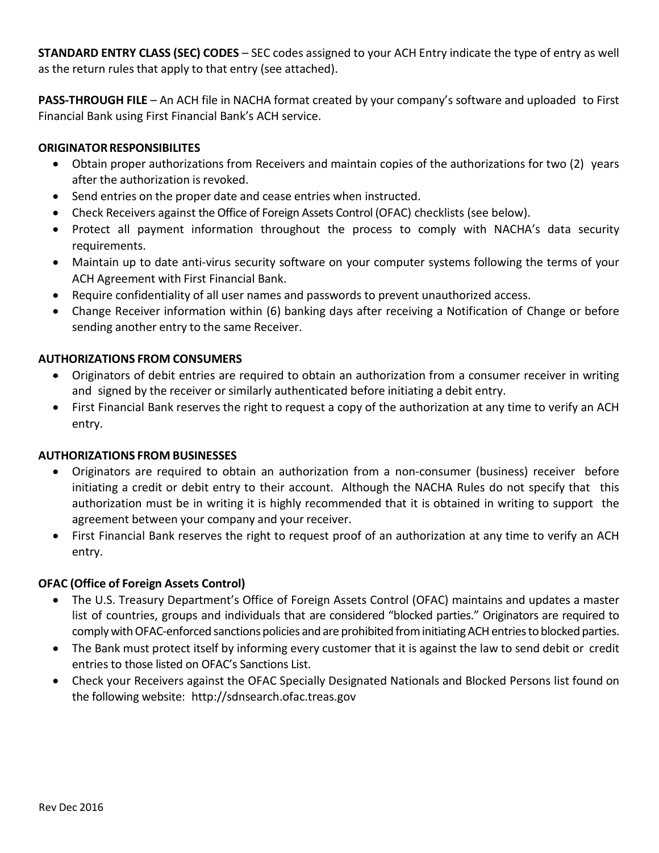**STANDARD ENTRY CLASS (SEC) CODES** – SEC codes assigned to your ACH Entry indicate the type of entry as well as the return rules that apply to that entry (see attached).

**PASS-THROUGH FILE** – An ACH file in NACHA format created by your company's software and uploaded to First Financial Bank using First Financial Bank's ACH service.

## **ORIGINATOR RESPONSIBILITES**

- Obtain proper authorizations from Receivers and maintain copies of the authorizations for two (2) years after the authorization is revoked.
- Send entries on the proper date and cease entries when instructed.
- Check Receivers against the Office of Foreign Assets Control (OFAC) checklists (see below).
- Protect all payment information throughout the process to comply with NACHA's data security requirements.
- Maintain up to date anti-virus security software on your computer systems following the terms of your ACH Agreement with First Financial Bank.
- Require confidentiality of all user names and passwords to prevent unauthorized access.
- Change Receiver information within (6) banking days after receiving a Notification of Change or before sending another entry to the same Receiver.

### **AUTHORIZATIONS FROM CONSUMERS**

- Originators of debit entries are required to obtain an authorization from a consumer receiver in writing and signed by the receiver or similarly authenticated before initiating a debit entry.
- First Financial Bank reserves the right to request a copy of the authorization at any time to verify an ACH entry.

### **AUTHORIZATIONS FROM BUSINESSES**

- Originators are required to obtain an authorization from a non-consumer (business) receiver before initiating a credit or debit entry to their account. Although the NACHA Rules do not specify that this authorization must be in writing it is highly recommended that it is obtained in writing to support the agreement between your company and your receiver.
- First Financial Bank reserves the right to request proof of an authorization at any time to verify an ACH entry.

### **OFAC (Office of Foreign Assets Control)**

- The U.S. Treasury Department's Office of Foreign Assets Control (OFAC) maintains and updates a master list of countries, groups and individuals that are considered "blocked parties." Originators are required to comply with OFAC-enforced sanctions policies and are prohibited from initiatingACH entries to blocked parties.
- The Bank must protect itself by informing every customer that it is against the law to send debit or credit entries to those listed on OFAC's Sanctions List.
- Check your Receivers against the OFAC Specially Designated Nationals and Blocked Persons list found on the following website: [http://sdnsearch.ofac.treas.gov](http://sdnsearch.ofac.treas.gov/)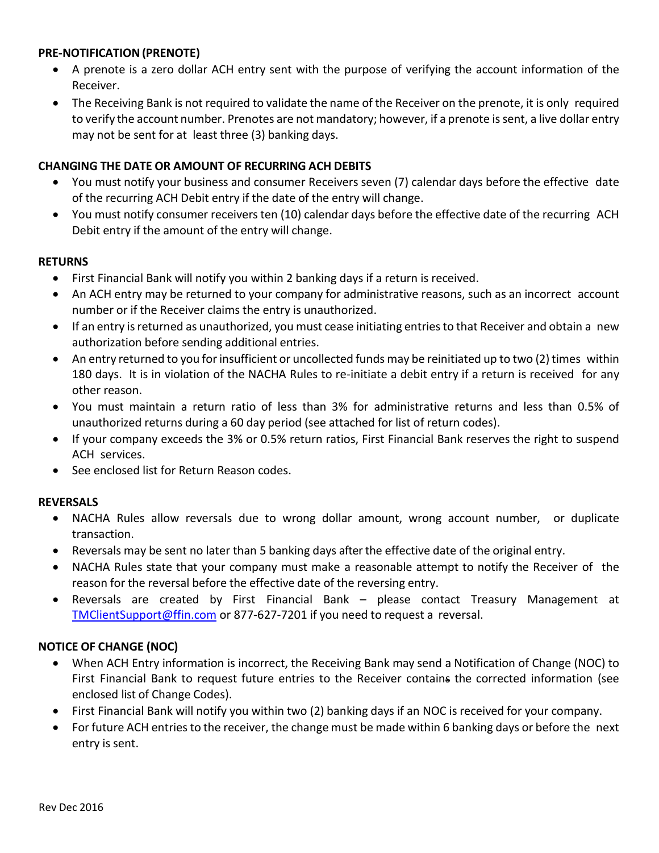#### **PRE-NOTIFICATION(PRENOTE)**

- A prenote is a zero dollar ACH entry sent with the purpose of verifying the account information of the Receiver.
- The Receiving Bank is not required to validate the name of the Receiver on the prenote, it is only required to verify the account number. Prenotes are not mandatory; however, if a prenote is sent, a live dollar entry may not be sent for at least three (3) banking days.

#### **CHANGING THE DATE OR AMOUNT OF RECURRING ACH DEBITS**

- You must notify your business and consumer Receivers seven (7) calendar days before the effective date of the recurring ACH Debit entry if the date of the entry will change.
- You must notify consumer receivers ten (10) calendar days before the effective date of the recurring ACH Debit entry if the amount of the entry will change.

#### **RETURNS**

- First Financial Bank will notify you within 2 banking days if a return is received.
- An ACH entry may be returned to your company for administrative reasons, such as an incorrect account number or if the Receiver claims the entry is unauthorized.
- If an entry is returned as unauthorized, you must cease initiating entries to that Receiver and obtain a new authorization before sending additional entries.
- An entry returned to you for insufficient or uncollected funds may be reinitiated up to two (2) times within 180 days. It is in violation of the NACHA Rules to re-initiate a debit entry if a return is received for any other reason.
- You must maintain a return ratio of less than 3% for administrative returns and less than 0.5% of unauthorized returns during a 60 day period (see attached for list of return codes).
- If your company exceeds the 3% or 0.5% return ratios, First Financial Bank reserves the right to suspend ACH services.
- See enclosed list for Return Reason codes.

#### **REVERSALS**

- NACHA Rules allow reversals due to wrong dollar amount, wrong account number, or duplicate transaction.
- Reversals may be sent no later than 5 banking days after the effective date of the original entry.
- NACHA Rules state that your company must make a reasonable attempt to notify the Receiver of the reason for the reversal before the effective date of the reversing entry.
- Reversals are created by First Financial Bank please contact Treasury Management at [TMClientSupport@ffin.com](mailto:TMClientSupport@ffin.com) or 877-627-7201 if you need to request a reversal.

#### **NOTICE OF CHANGE (NOC)**

- When ACH Entry information is incorrect, the Receiving Bank may send a Notification of Change (NOC) to First Financial Bank to request future entries to the Receiver contains the corrected information (see enclosed list of Change Codes).
- First Financial Bank will notify you within two (2) banking days if an NOC is received for your company.
- For future ACH entries to the receiver, the change must be made within 6 banking days or before the next entry is sent.